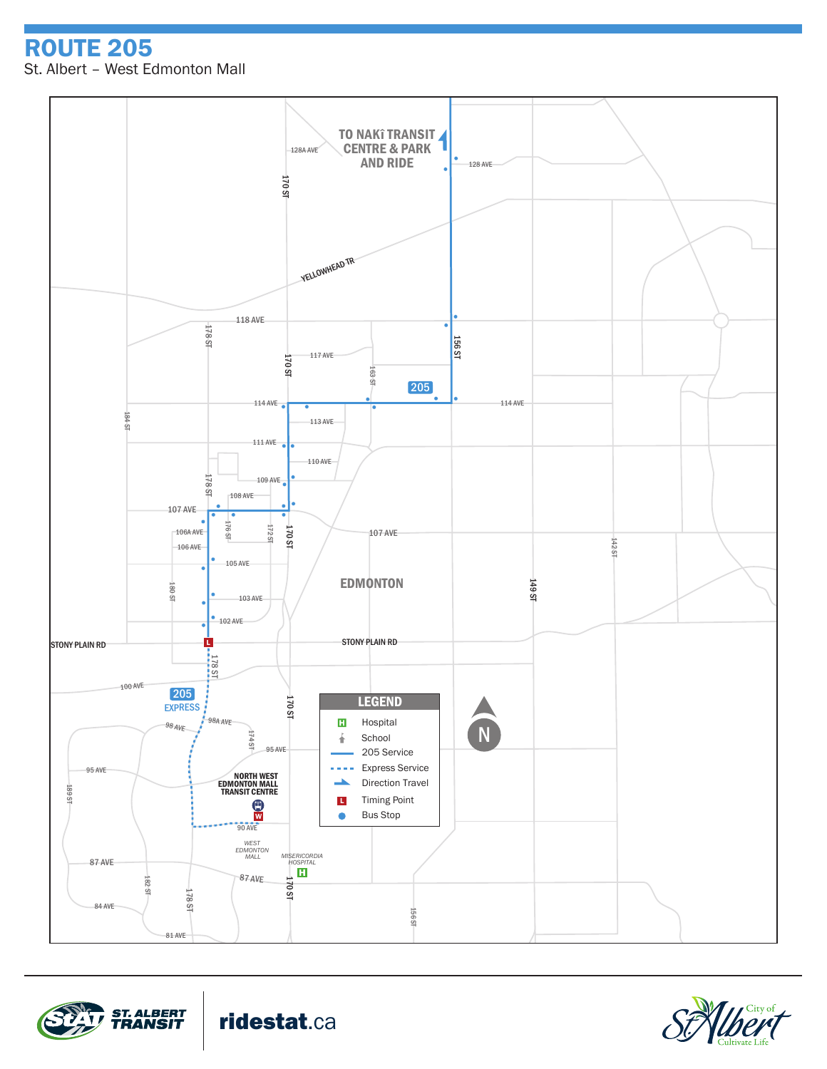ROUTE 205 St. Albert – West Edmonton Mall







ridestat.ca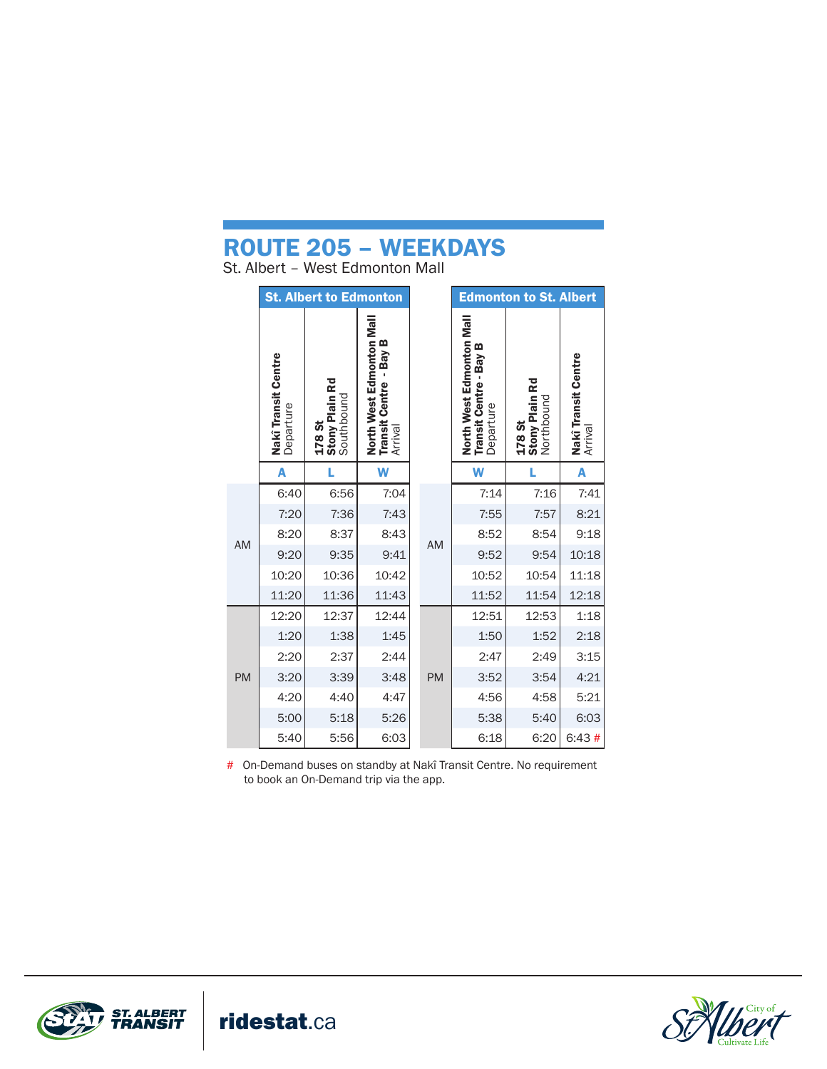## ROUTE 205 – WEEKDAYS

St. Albert – West Edmonton Mall

|           | <b>St. Albert to Edmonton</b>           |                                               |                                                                 |           | <b>Edmonton to St. Albert</b>                                   |                                        |                                           |
|-----------|-----------------------------------------|-----------------------------------------------|-----------------------------------------------------------------|-----------|-----------------------------------------------------------------|----------------------------------------|-------------------------------------------|
|           | <b>Nakî Transit Centre</b><br>Departure | <b>Stony Plain Rd</b><br>Southbound<br>178 St | North West Edmonton Mal<br>- Bay B<br>Transit Centre<br>Arrival |           | North West Edmonton Mall<br>Transit Centre - Bay B<br>Departure | 178 St<br>Stony Plain Rd<br>Northbound | Nakî Transit Centre<br><sup>Arrival</sup> |
|           | A                                       | L                                             | W                                                               |           | W                                                               | Ĺ                                      | A                                         |
| <b>AM</b> | 6:40                                    | 6:56                                          | 7:04                                                            |           | 7:14                                                            | 7:16                                   | 7:41                                      |
|           | 7:20                                    | 7:36                                          | 7:43                                                            |           | 7:55                                                            | 7:57                                   | 8:21                                      |
|           | 8:20                                    | 8:37                                          | 8:43                                                            | AM        | 8:52                                                            | 8:54                                   | 9:18                                      |
|           | 9:20                                    | 9:35                                          | 9:41                                                            |           | 9:52                                                            | 9:54                                   | 10:18                                     |
|           | 10:20                                   | 10:36                                         | 10:42                                                           |           | 10:52                                                           | 10:54                                  | 11:18                                     |
|           | 11:20                                   | 11:36                                         | 11:43                                                           |           | 11:52                                                           | 11:54                                  | 12:18                                     |
| <b>PM</b> | 12:20                                   | 12:37                                         | 12:44                                                           |           | 12:51                                                           | 12:53                                  | 1:18                                      |
|           | 1:20                                    | 1:38                                          | 1:45                                                            | <b>PM</b> | 1:50                                                            | 1:52                                   | 2:18                                      |
|           | 2:20                                    | 2:37                                          | 2:44                                                            |           | 2:47                                                            | 2:49                                   | 3:15                                      |
|           | 3:20                                    | 3:39                                          | 3:48                                                            |           | 3:52                                                            | 3:54                                   | 4:21                                      |
|           | 4:20                                    | 4:40                                          | 4:47                                                            |           | 4:56                                                            | 4:58                                   | 5:21                                      |
|           | 5:00                                    | 5:18                                          | 5:26                                                            |           | 5:38                                                            | 5:40                                   | 6:03                                      |
|           | 5:40                                    | 5:56                                          | 6:03                                                            |           | 6:18                                                            | 6:20                                   | 6:43#                                     |

# On-Demand buses on standby at Nakî Transit Centre. No requirement to book an On-Demand trip via the app.